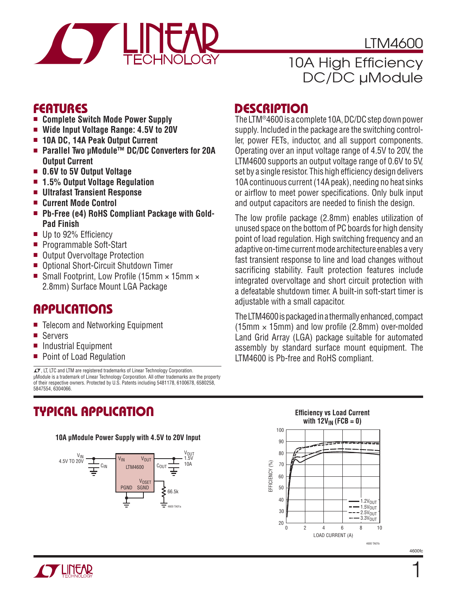

LTM4600

# 10A High Efficiency DC/DC µModule

### **FEATURES**

- <sup>n</sup> **Complete Switch Mode Power Supply**
- Wide Input Voltage Range: 4.5V to 20V
- <sup>n</sup> **10A DC, 14A Peak Output Current**
- Parallel Two µModule<sup>™</sup> DC/DC Converters for 20A **Output Current**
- 0.6V to 5V Output Voltage
- 1.5% Output Voltage Regulation
- Ultrafast Transient Response
- <sup>n</sup> **Current Mode Control**
- **Ph-Free (e4) RoHS Compliant Package with Gold-Pad Finish**
- $\blacksquare$  Up to 92% Efficiency
- Programmable Soft-Start
- Output Overvoltage Protection
- Optional Short-Circuit Shutdown Timer
- Small Footprint, Low Profile (15mm  $\times$  15mm  $\times$ 2.8mm) Surface Mount LGA Package

### **APPLICATIONS**

- Telecom and Networking Equipment
- Servers
- Industrial Equipment
- Point of Load Regulation

 $\sqrt{27}$ , LT, LTC and LTM are registered trademarks of Linear Technology Corporation. μModule is a trademark of Linear Technology Corporation. All other trademarks are the property of their respective owners. Protected by U.S. Patents including 5481178, 6100678, 6580258, 5847554, 6304066.

### **TYPICAL APPLICATION**

#### **10A μModule Power Supply with 4.5V to 20V Input**



### **DESCRIPTION**

The LTM®4600 is a complete 10A, DC/DC step down power supply. Included in the package are the switching controller, power FETs, inductor, and all support components. Operating over an input voltage range of 4.5V to 20V, the LTM4600 supports an output voltage range of 0.6V to 5V, set by a single resistor. This high efficiency design delivers 10A continuous current (14A peak), needing no heat sinks or airflow to meet power specifications. Only bulk input and output capacitors are needed to finish the design.

The low profile package (2.8mm) enables utilization of unused space on the bottom of PC boards for high density point of load regulation. High switching frequency and an adaptive on-time current mode architecture enables a very fast transient response to line and load changes without sacrificing stability. Fault protection features include integrated overvoltage and short circuit protection with a defeatable shutdown timer. A built-in soft-start timer is adjustable with a small capacitor.

The LTM4600 is packaged in a thermally enhanced, compact (15mm  $\times$  15mm) and low profile (2.8mm) over-molded Land Grid Array (LGA) package suitable for automated assembly by standard surface mount equipment. The LTM4600 is Pb-free and RoHS compliant.



4600fc

1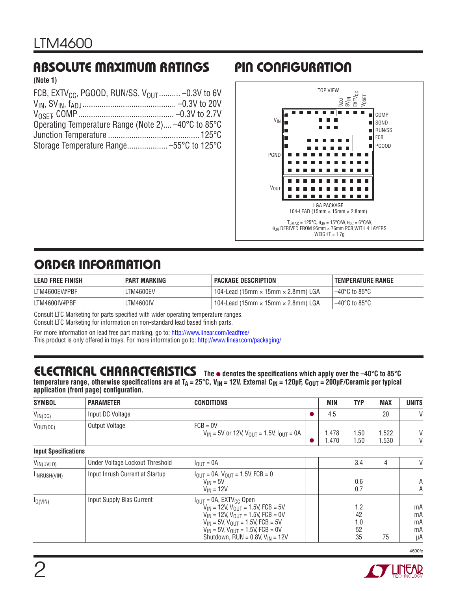## **ABSOLUTE MAXIMUM RATINGS PIN CONFIGURATION**

#### **(Note 1)**

| FCB, EXTV <sub>CC</sub> , PGOOD, RUN/SS, V <sub>OUT</sub> -0.3V to 6V |
|-----------------------------------------------------------------------|
|                                                                       |
|                                                                       |
| Operating Temperature Range (Note 2) -40°C to 85°C                    |
|                                                                       |
|                                                                       |
|                                                                       |



# **ORDER INFORMATION**

| <b>LEAD FREE FINISH</b> | <b>PART MARKING</b> | <b>PACKAGE DESCRIPTION</b>                       | <b>TEMPERATURE RANGE</b> |
|-------------------------|---------------------|--------------------------------------------------|--------------------------|
| LTM4600EV#PBF           | LTM4600EV           | 104-Lead (15mm $\times$ 15mm $\times$ 2.8mm) LGA | $-40^{\circ}$ C to 85°C  |
| LTM4600IV#PBF           | LTM4600IV           | 104-Lead (15mm $\times$ 15mm $\times$ 2.8mm) LGA | $-40^{\circ}$ C to 85°C  |

Consult LTC Marketing for parts specified with wider operating temperature ranges.

Consult LTC Marketing for information on non-standard lead based finish parts.

For more information on lead free part marking, go to:<http://www.linear.com/leadfree/>

This product is only offered in trays. For more information go to:<http://www.linear.com/packaging/>

# **ELECTRICAL CHARACTERISTICS**

 **The** l **denotes the specifi cations which apply over the –40°C to 85°C**  temperature range, otherwise specifications are at T<sub>A</sub> = 25°C, V<sub>IN</sub> = 12V. External C<sub>IN</sub> = 120μF, C<sub>OUT</sub> = 200μF/Ceramic per typical application (front page) configuration.

| <b>SYMBOL</b>               | <b>PARAMETER</b>                | <b>CONDITIONS</b>                                                                                                                                                                                                                                                            | MIN            | <b>TYP</b>                   | <b>MAX</b>     | <b>UNITS</b>               |
|-----------------------------|---------------------------------|------------------------------------------------------------------------------------------------------------------------------------------------------------------------------------------------------------------------------------------------------------------------------|----------------|------------------------------|----------------|----------------------------|
| $V_{IN(DC)}$                | Input DC Voltage                |                                                                                                                                                                                                                                                                              | 4.5            |                              | 20             | $\vee$                     |
| $V_{\text{OUT(DC)}}$        | Output Voltage                  | $FCB = 0V$<br>$V_{IN}$ = 5V or 12V, $V_{OUIT}$ = 1.5V, $I_{OUIT}$ = 0A                                                                                                                                                                                                       | 1.478<br>1.470 | 1.50<br>1.50                 | 1.522<br>1.530 | V<br>V                     |
| <b>Input Specifications</b> |                                 |                                                                                                                                                                                                                                                                              |                |                              |                |                            |
| $V_{IN(UVLO)}$              | Under Voltage Lockout Threshold | $IOlIT = 0A$                                                                                                                                                                                                                                                                 |                | 3.4                          | 4              | V                          |
| IINRUSH(VIN)                | Input Inrush Current at Startup | $I_{\text{OUT}} = 0$ A. $V_{\text{OUT}} = 1.5$ V, FCB = 0<br>$V_{IN} = 5V$<br>$V_{IN}$ = 12V                                                                                                                                                                                 |                | 0.6<br>0.7                   |                | Α<br>А                     |
| $I_Q(VIN)$                  | Input Supply Bias Current       | $I_{OIII}$ = 0A, EXTV <sub>CC</sub> Open<br>$V_{IN}$ = 12V, $V_{OUIT}$ = 1.5V, FCB = 5V<br>$V_{IN}$ = 12V, $V_{OUT}$ = 1.5V, FCB = 0V<br>$V_{IN}$ = 5V, $V_{OUIT}$ = 1.5V, FCB = 5V<br>$V_{IN}$ = 5V, $V_{OUIT}$ = 1.5V, FCB = 0V<br>Shutdown, $RUN = 0.8V$ , $V_{IN} = 12V$ |                | 1.2<br>42<br>1.0<br>52<br>35 | 75             | mA<br>mA<br>mA<br>mA<br>μA |

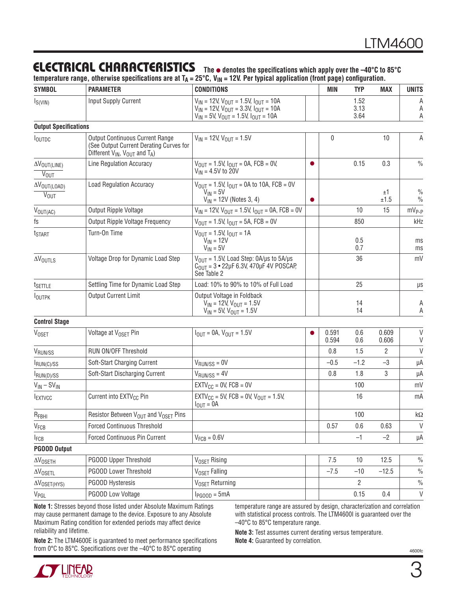#### **The** l **denotes the specifi cations which apply over the –40°C to 85°C ELECTRICAL CHARACTERISTICS**

temperature range, otherwise specifications are at T<sub>A</sub> = 25°C, V<sub>IN</sub> = 12V. Per typical application (front page) configuration.

| <b>SYMBOL</b>                                         | <b>PARAMETER</b>                                                                                                                | <b>CONDITIONS</b>                                                                                                                                          | <b>MIN</b>     | <b>TYP</b>           | <b>MAX</b>     | <b>UNITS</b>                   |
|-------------------------------------------------------|---------------------------------------------------------------------------------------------------------------------------------|------------------------------------------------------------------------------------------------------------------------------------------------------------|----------------|----------------------|----------------|--------------------------------|
| $I_{S(VIN)}$                                          | Input Supply Current                                                                                                            | $V_{IN}$ = 12V, $V_{OUT}$ = 1.5V, $I_{OUT}$ = 10A<br>$V_{IN}$ = 12V, $V_{OUT}$ = 3.3V, $I_{OUT}$ = 10A<br>$V_{IN}$ = 5V, $V_{OUT}$ = 1.5V, $I_{OUT}$ = 10A |                | 1.52<br>3.13<br>3.64 |                | Α<br>Α<br>Α                    |
| <b>Output Specifications</b>                          |                                                                                                                                 |                                                                                                                                                            |                |                      |                |                                |
| <b>I</b> OUTDC                                        | <b>Output Continuous Current Range</b><br>(See Output Current Derating Curves for<br>Different $V_{IN}$ , $V_{OUT}$ and $T_A$ ) | $V_{IN}$ = 12V, $V_{OUT}$ = 1.5V                                                                                                                           | $\pmb{0}$      |                      | 10             | Α                              |
| $\Delta V_{\text{OUT(LINE)}}$<br>$\overline{V_{OUT}}$ | Line Regulation Accuracy                                                                                                        | $V_{\text{OUT}} = 1.5V, I_{\text{OUT}} = 0A, FCB = 0V,$<br>●<br>$V_{IN} = 4.5V$ to 20V                                                                     |                | 0.15                 | 0.3            | $\frac{0}{0}$                  |
| $\Delta V_{\text{OUT(LOAD)}}$<br><b>VOUT</b>          | <b>Load Regulation Accuracy</b>                                                                                                 | $V_{\text{OUT}} = 1.5V, I_{\text{OUT}} = 0A$ to 10A, FCB = 0V<br>$V_{IN} = 5V$<br>$V_{IN}$ = 12V (Notes 3, 4)<br>$\bullet$                                 |                |                      | ±1<br>±1.5     | $\frac{0}{0}$<br>$\frac{0}{0}$ |
| $V_{OUT(AC)}$                                         | Output Ripple Voltage                                                                                                           | $V_{1N}$ = 12V, $V_{OUT}$ = 1.5V, $I_{OUT}$ = 0A, FCB = 0V                                                                                                 |                | 10                   | 15             | $mV_{P-P}$                     |
| fs                                                    | Output Ripple Voltage Frequency                                                                                                 | $V_{\text{OUT}} = 1.5V, I_{\text{OUT}} = 5A, FCB = 0V$                                                                                                     |                | 850                  |                | kHz                            |
| t <sub>START</sub>                                    | Turn-On Time                                                                                                                    | $V_{OIII}$ = 1.5V, $I_{OIII}$ = 1A<br>$V_{IN} = 12V$<br>$V_{IN} = 5V$                                                                                      |                | 0.5<br>0.7           |                | ms<br>ms                       |
| $\Delta V_{\text{OUTLS}}$                             | Voltage Drop for Dynamic Load Step                                                                                              | $V_{OIII}$ = 1.5V, Load Step: 0A/µs to 5A/µs<br>$C_{\text{OUT}} = 3 \cdot 22 \mu F 6.3 V$ , 470 $\mu$ F 4V POSCAP,<br>See Table 2                          |                | 36                   |                | mV                             |
| t <sub>SETTLE</sub>                                   | Settling Time for Dynamic Load Step                                                                                             | Load: 10% to 90% to 10% of Full Load                                                                                                                       |                | 25                   |                | $\mu s$                        |
| <b>IOUTPK</b>                                         | <b>Output Current Limit</b>                                                                                                     | Output Voltage in Foldback<br>$V_{IN}$ = 12V, $V_{OUT}$ = 1.5V<br>$V_{IN}$ = 5V, $V_{OUT}$ = 1.5V                                                          |                | 14<br>14             |                | А<br>A                         |
| <b>Control Stage</b>                                  |                                                                                                                                 |                                                                                                                                                            |                |                      |                |                                |
| <b>VOSET</b>                                          | Voltage at V <sub>OSET</sub> Pin                                                                                                | $I_{\text{OUT}} = 0A$ , $V_{\text{OUT}} = 1.5V$                                                                                                            | 0.591<br>0.594 | 0.6<br>0.6           | 0.609<br>0.606 | $\vee$<br>V                    |
| V <sub>RUN/SS</sub>                                   | RUN ON/OFF Threshold                                                                                                            |                                                                                                                                                            | 0.8            | 1.5                  | 2              | $\vee$                         |
| $I_{\text{RUN}(C)/SS}$                                | Soft-Start Charging Current                                                                                                     | $V_{RUN/SS} = 0V$                                                                                                                                          | $-0.5$         | $-1.2$               | $-3$           | μA                             |
| $I_{\text{RUN}(D)/SS}$                                | Soft-Start Discharging Current                                                                                                  | $V_{RUN/SS} = 4V$                                                                                                                                          | 0.8            | 1.8                  | 3              | μA                             |
| $V_{IN} - SV_{IN}$                                    |                                                                                                                                 | $EXTV_{CC} = 0V$ , $FCB = 0V$                                                                                                                              |                | 100                  |                | mV                             |
| <b>IEXTVCC</b>                                        | Current into EXTV <sub>CC</sub> Pin                                                                                             | $EXTV_{CC} = 5V$ , FCB = 0V, $V_{OUT} = 1.5V$ ,<br>$I_{OUT} = 0A$                                                                                          |                | 16                   |                | mA                             |
| $R_{FBHI}$                                            | Resistor Between V <sub>OUT</sub> and V <sub>OSET</sub> Pins                                                                    |                                                                                                                                                            |                | 100                  |                | $k\Omega$                      |
| V <sub>FCB</sub>                                      | <b>Forced Continuous Threshold</b>                                                                                              |                                                                                                                                                            | 0.57           | 0.6                  | 0.63           | $\vee$                         |
| $I_{FCB}$                                             | Forced Continuous Pin Current                                                                                                   | $V_{FCB} = 0.6V$                                                                                                                                           |                | $-1$                 | $-2$           | μA                             |
| <b>PGOOD Output</b>                                   |                                                                                                                                 |                                                                                                                                                            |                |                      |                |                                |
| $\Delta V_{OSETH}$                                    | PGOOD Upper Threshold                                                                                                           | V <sub>OSET</sub> Rising                                                                                                                                   | 7.5            | 10                   | 12.5           | $\frac{0}{0}$                  |
| $\Delta V_{OSETL}$                                    | PGOOD Lower Threshold                                                                                                           | V <sub>OSET</sub> Falling                                                                                                                                  | $-7.5$         | $-10$                | $-12.5$        | $\%$                           |
| $\Delta V_{OSET(HYS)}$                                | PGOOD Hysteresis                                                                                                                | V <sub>OSET</sub> Returning                                                                                                                                |                | 2                    |                | $\frac{0}{0}$                  |
| $V_{PGL}$                                             | PGOOD Low Voltage                                                                                                               | $I_{PGOOD} = 5mA$                                                                                                                                          |                | 0.15                 | 0.4            | V                              |
|                                                       | Note 1: Stresses beyond those listed under Absolute Maximum Ratings                                                             | temperature range are assured by design, characterization and correlation                                                                                  |                |                      |                |                                |

**Note 1:** Stresses beyond those listed under Absolute Maximum Ratings may cause permanent damage to the device. Exposure to any Absolute Maximum Rating condition for extended periods may affect device reliability and lifetime.

**Note 2:** The LTM4600E is guaranteed to meet performance specifications from 0°C to 85°C. Specifications over the -40°C to 85°C operating

with statistical process controls. The LTM4600I is guaranteed over the –40°C to 85°C temperature range.

**Note 3:** Test assumes current derating versus temperature. **Note 4:** Guaranteed by correlation.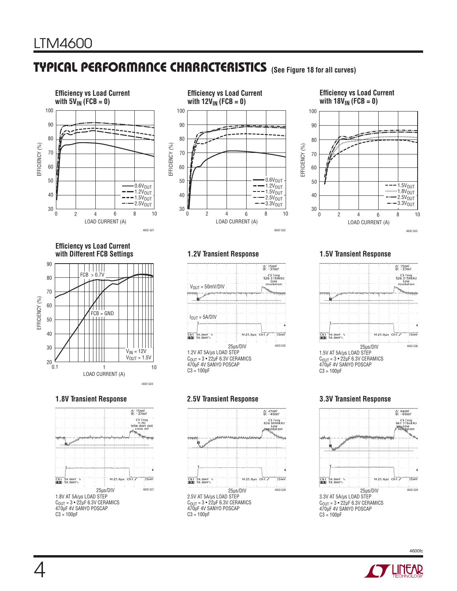# **TYPICAL PERFORMANCE CHARACTERISTICS (See Figure 18 for all curves)**





### **Efficiency vs Load Current**



**Efficiency vs Load Current with Different FCB Settings**





**1.2V Transient Response 1.5V Transient Response**



1.2V AT 5A/μs LOAD STEP  $C<sub>OIII</sub> = 3 • 22 \mu F 6.3 V CERAMICS$ 470μF 4V SANYO POSCAP  $C3 = 100pF$ 





C<sub>OUT</sub> = 3 • 22μF 6.3V CERAMICS<br>470μF 4V SANYO POSCAP C3 = 100pF

#### **1.8V Transient Response 2.5V Transient Response 3.3V Transient Response**



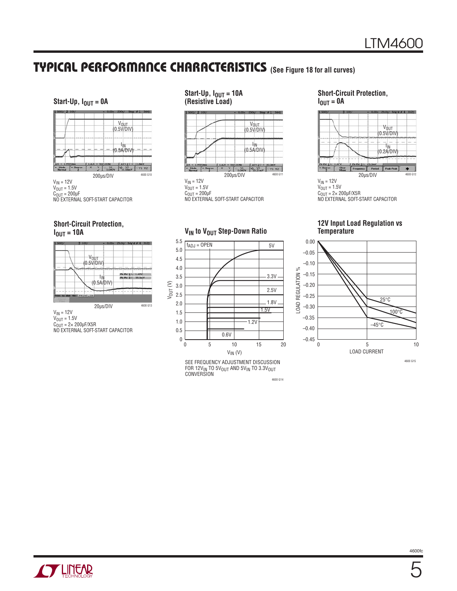### **(See Figure 18 for all curves) TYPICAL PERFORMANCE CHARACTERISTICS**

#### **Start-Up,**  $I_{OUT} = 0A$





#### **Short-Circuit Protection, IOUT = 10A**



 $V_{IN} = 12V$  $V_{\text{OUT}} = 1.5V$  $C<sub>OUT</sub> = 2 \times 200 \mu F/X5R$ NO EXTERNAL SOFT-START CAPACITOR

#### **Start-Up,**  $I_{OUT} = 10A$ **(Resistive Load)**



 $V_{IN} = 12V$  $V_{\text{OUT}} = 1.5V$  $C<sub>OUT</sub> = 200 \mu F$ 

NO EXTERNAL SOFT-START CAPACITOR

#### **V<sub>IN</sub>** to V<sub>OUT</sub> Step-Down Ratio



**Short-Circuit Protection,**   $I_{OUT} = 0A$ 



#### **12V Input Load Regulation vs Temperature**



4600 G14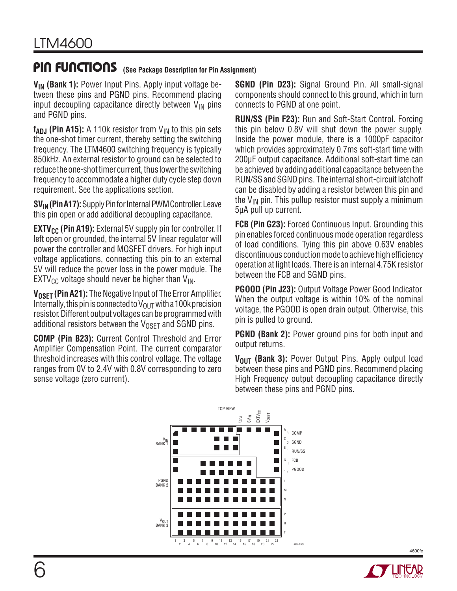### **(See Package Description for Pin Assignment) PIN FUNCTIONS**

**V<sub>IN</sub>** (Bank 1): Power Input Pins. Apply input voltage between these pins and PGND pins. Recommend placing input decoupling capacitance directly between  $V_{IN}$  pins and PGND pins.

 $f_{ADJ}$  (Pin A15): A 110k resistor from  $V_{IN}$  to this pin sets the one-shot timer current, thereby setting the switching frequency. The LTM4600 switching frequency is typically 850kHz. An external resistor to ground can be selected to reduce the one-shot timer current, thus lower the switching frequency to accommodate a higher duty cycle step down requirement. See the applications section.

**SV<sub>IN</sub> (Pin A17):** Supply Pin for Internal PWM Controller. Leave this pin open or add additional decoupling capacitance.

**EXTV<sub>CC</sub> (Pin A19):** External 5V supply pin for controller. If left open or grounded, the internal 5V linear regulator will power the controller and MOSFET drivers. For high input voltage applications, connecting this pin to an external 5V will reduce the power loss in the power module. The  $EXTV_{CC}$  voltage should never be higher than  $V_{IN}$ .

**V<sub>OSET</sub> (Pin A21):** The Negative Input of The Error Amplifier. Internally, this pin is connected to  $V_{\text{OUT}}$  with a 100k precision resistor. Different output voltages can be programmed with additional resistors between the  $V_{\text{OSFT}}$  and SGND pins.

**COMP (Pin B23):** Current Control Threshold and Error Amplifier Compensation Point. The current comparator threshold increases with this control voltage. The voltage ranges from 0V to 2.4V with 0.8V corresponding to zero sense voltage (zero current).

**SGND (Pin D23):** Signal Ground Pin. All small-signal components should connect to this ground, which in turn connects to PGND at one point.

**RUN/SS (Pin F23):** Run and Soft-Start Control. Forcing this pin below 0.8V will shut down the power supply. Inside the power module, there is a 1000pF capacitor which provides approximately 0.7ms soft-start time with 200μF output capacitance. Additional soft-start time can be achieved by adding additional capacitance between the RUN/SS and SGND pins. The internal short-circuit latchoff can be disabled by adding a resistor between this pin and the  $V_{IN}$  pin. This pullup resistor must supply a minimum 5μA pull up current.

**FCB (Pin G23):** Forced Continuous Input. Grounding this pin enables forced continuous mode operation regardless of load conditions. Tying this pin above 0.63V enables discontinuous conduction mode to achieve high efficiency operation at light loads. There is an internal 4.75K resistor between the FCB and SGND pins.

**PGOOD (Pin J23):** Output Voltage Power Good Indicator. When the output voltage is within 10% of the nominal voltage, the PGOOD is open drain output. Otherwise, this pin is pulled to ground.

**PGND (Bank 2):** Power ground pins for both input and output returns.

E C A RUN/SS FCB PGOOD V<sub>IN</sub><br>BANK 1 PGND BANK 2 V<sub>OUT</sub><br>BANK 3 COMP SGND  $EXYCC$ VOSET fADJ SVIN TOP VIEW 3 5 2 4 7 9 11 13 10 12 15 17 14 16 19 21 18 20 22 1 23 6 8 94 95 96 97 98 99 100 101 102 103 104 93 82 71 60 49 24 23 22 21 20 2 3 4 5 6 7 16 17 18 19 40 51 62 73 . . . . . . . . 74 75 76 77 78 79 80 63 64 65 66 67 68 69 52 53 54 55 56 57 58 42 43 44 45 46 47 92 81 70 59 48 9 10 11 13 14 15 26 27 28 29 30 31 33 34 35 36 37 38 41 1 8 12 25 32 39 50 61 72 83 B D F G H J L M N P R T K 4600 PN01

**V<sub>OUT</sub>** (Bank 3): Power Output Pins. Apply output load between these pins and PGND pins. Recommend placing High Frequency output decoupling capacitance directly between these pins and PGND pins.

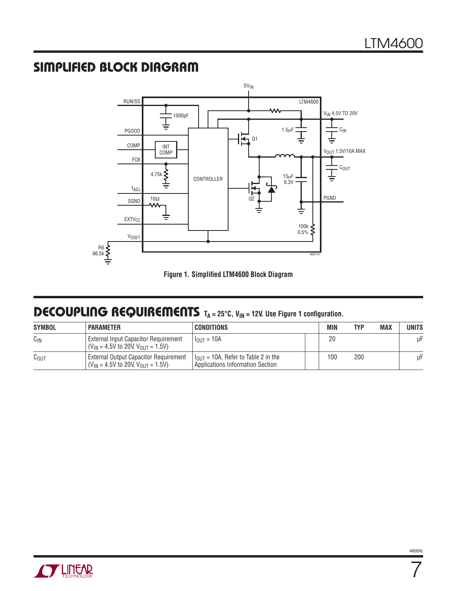## **SIMPLIFIED BLOCK DIAGRAM**





### **DECOUPLING REQUIREMENTS** T<sub>A</sub> = 25°C, V<sub>IN</sub> = 12V. Use Figure 1 configuration.

| <b>SYMBOL</b>    | <b>PARAMETER</b>                                                                      | <b>CONDITIONS</b>                                                                   | <b>MIN</b> | <b>TYP</b> | <b>MAX</b> | UNITS |
|------------------|---------------------------------------------------------------------------------------|-------------------------------------------------------------------------------------|------------|------------|------------|-------|
| $C_{\text{IN}}$  | External Input Capacitor Requirement<br>$(V_{IN} = 4.5V$ to 20V, $V_{OUIT} = 1.5V$ )  | $I_{\text{OUT}} = 10A$                                                              | 20         |            |            | μF    |
| C <sub>OUT</sub> | External Output Capacitor Requirement<br>$(V_{IN} = 4.5V$ to 20V, $V_{OIII} = 1.5V$ ) | $1_{\text{OUT}}$ = 10A, Refer to Table 2 in the<br>Applications Information Section | 100        | 200        |            | μF    |



7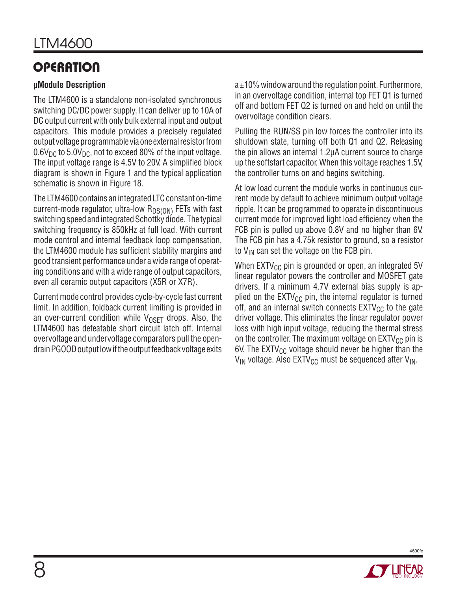# **OPERATION**

### **μModule Description**

The LTM4600 is a standalone non-isolated synchronous switching DC/DC power supply. It can deliver up to 10A of DC output current with only bulk external input and output capacitors. This module provides a precisely regulated output voltage programmable via one external resistor from  $0.6V_{\text{DC}}$  to 5.0V<sub>DC</sub>, not to exceed 80% of the input voltage. The input voltage range is 4.5V to 20V. A simplified block diagram is shown in Figure 1 and the typical application schematic is shown in Figure 18.

The LTM4600 contains an integrated LTC constant on-time current-mode regulator, ultra-low  $R_{DS(ON)}$  FETs with fast switching speed and integrated Schottky diode. The typical switching frequency is 850kHz at full load. With current mode control and internal feedback loop compensation, the LTM4600 module has sufficient stability margins and good transient performance under a wide range of operating conditions and with a wide range of output capacitors, even all ceramic output capacitors (X5R or X7R).

Current mode control provides cycle-by-cycle fast current limit. In addition, foldback current limiting is provided in an over-current condition while  $V_{OSET}$  drops. Also, the LTM4600 has defeatable short circuit latch off. Internal overvoltage and undervoltage comparators pull the opendrain PGOOD output low if the output feedback voltage exits

 $a \pm 10$ % window around the regulation point. Furthermore, in an overvoltage condition, internal top FET Q1 is turned off and bottom FET Q2 is turned on and held on until the overvoltage condition clears.

Pulling the RUN/SS pin low forces the controller into its shutdown state, turning off both Q1 and Q2. Releasing the pin allows an internal 1.2μA current source to charge up the softstart capacitor. When this voltage reaches 1.5V, the controller turns on and begins switching.

At low load current the module works in continuous current mode by default to achieve minimum output voltage ripple. It can be programmed to operate in discontinuous current mode for improved light load efficiency when the FCB pin is pulled up above 0.8V and no higher than 6V. The FCB pin has a 4.75k resistor to ground, so a resistor to  $V_{IN}$  can set the voltage on the FCB pin.

When  $EXTV_{CC}$  pin is grounded or open, an integrated 5V linear regulator powers the controller and MOSFET gate drivers. If a minimum 4.7V external bias supply is applied on the  $EXTV_{CC}$  pin, the internal regulator is turned off, and an internal switch connects  $\text{EXTV}_{\text{CC}}$  to the gate driver voltage. This eliminates the linear regulator power loss with high input voltage, reducing the thermal stress on the controller. The maximum voltage on  $EXT_{CC}$  pin is 6V. The  $EXTV_{CC}$  voltage should never be higher than the  $V_{IN}$  voltage. Also EXTV<sub>CC</sub> must be sequenced after  $V_{IN}$ .

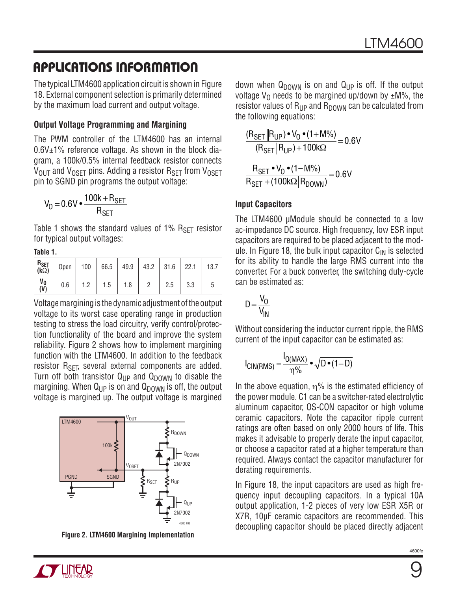The typical LTM4600 application circuit is shown in Figure 18. External component selection is primarily determined by the maximum load current and output voltage.

#### **Output Voltage Programming and Margining**

The PWM controller of the LTM4600 has an internal  $0.6V<sub>±</sub>1%$  reference voltage. As shown in the block diagram, a 100k/0.5% internal feedback resistor connects  $V_{\text{OUT}}$  and  $V_{\text{OSET}}$  pins. Adding a resistor  $R_{\text{SET}}$  from  $V_{\text{OSET}}$ pin to SGND pin programs the output voltage:

$$
V_0 = 0.6 V \cdot \frac{100k + R_{SET}}{R_{SET}}
$$

Table 1 shows the standard values of 1%  $R_{\text{SET}}$  resistor for typical output voltages:

**Table 1.**

| $R_{\text{SET}}$<br>(k $\Omega$ )             | Open | 100 | 66.5 |     | $49.9$ 43.2 31.6 |     | 22.1 | 13.7 |
|-----------------------------------------------|------|-----|------|-----|------------------|-----|------|------|
| V <sub>0</sub><br>$\overline{(\overline{V})}$ | 0.6  | 1 ዓ | 1.5  | 1.8 |                  | 2.5 | 3.3  |      |

Voltage margining is the dynamic adjustment of the output voltage to its worst case operating range in production testing to stress the load circuitry, verify control/protection functionality of the board and improve the system reliability. Figure 2 shows how to implement margining function with the LTM4600. In addition to the feedback resistor R<sub>SET</sub>, several external components are added. Turn off both transistor  $Q_{\text{LP}}$  and  $Q_{\text{DOWN}}$  to disable the margining. When  $Q_{\text{LP}}$  is on and  $Q_{\text{DOWN}}$  is off, the output voltage is margined up. The output voltage is margined



**Figure 2. LTM4600 Margining Implementation**

down when  $Q_{DOWN}$  is on and  $Q_{UP}$  is off. If the output voltage  $V<sub>0</sub>$  needs to be margined up/down by  $\pm M\%$ , the resistor values of  $R_{\text{UP}}$  and  $R_{\text{DOWN}}$  can be calculated from the following equations:

$$
\frac{(R_{\text{SET}} || R_{\text{UP}}) \cdot V_0 \cdot (1 + M\%)}{(R_{\text{SET}} || R_{\text{UP}}) + 100 \text{k}\Omega} = 0.6 \text{V}
$$

$$
\frac{R_{\text{SET}} \cdot V_0 \cdot (1 - M\%)}{R_{\text{SET}} + (100 \text{k}\Omega || R_{\text{DOWN}})} = 0.6 \text{V}
$$

#### **Input Capacitors**

The LTM4600 μModule should be connected to a low ac-impedance DC source. High frequency, low ESR input capacitors are required to be placed adjacent to the module. In Figure 18, the bulk input capacitor  $C_{IN}$  is selected for its ability to handle the large RMS current into the converter. For a buck converter, the switching duty-cycle can be estimated as:

$$
D = \frac{V_0}{V_{IN}}
$$

Without considering the inductor current ripple, the RMS current of the input capacitor can be estimated as:

$$
I_{\text{CIN(RMS)}} = \frac{I_{\text{O(MAX)}}}{\eta\%} \cdot \sqrt{D \cdot (1 - D)}
$$

In the above equation,  $\eta$ % is the estimated efficiency of the power module. C1 can be a switcher-rated electrolytic aluminum capacitor, OS-CON capacitor or high volume ceramic capacitors. Note the capacitor ripple current ratings are often based on only 2000 hours of life. This makes it advisable to properly derate the input capacitor, or choose a capacitor rated at a higher temperature than required. Always contact the capacitor manufacturer for derating requirements.

In Figure 18, the input capacitors are used as high frequency input decoupling capacitors. In a typical 10A output application, 1-2 pieces of very low ESR X5R or X7R, 10μF ceramic capacitors are recommended. This decoupling capacitor should be placed directly adjacent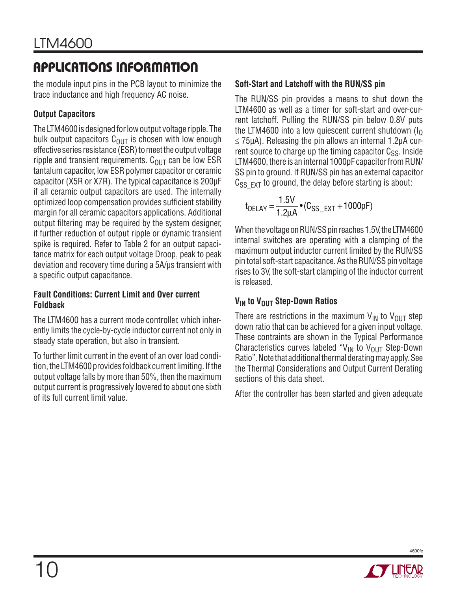the module input pins in the PCB layout to minimize the trace inductance and high frequency AC noise.

### **Output Capacitors**

The LTM4600 is designed for low output voltage ripple. The bulk output capacitors  $C_{\text{OUT}}$  is chosen with low enough effective series resistance (ESR) to meet the output voltage ripple and transient requirements.  $C<sub>OUT</sub>$  can be low ESR tantalum capacitor, low ESR polymer capacitor or ceramic capacitor (X5R or X7R). The typical capacitance is 200μF if all ceramic output capacitors are used. The internally optimized loop compensation provides sufficient stability margin for all ceramic capacitors applications. Additional output filtering may be required by the system designer, if further reduction of output ripple or dynamic transient spike is required. Refer to Table 2 for an output capacitance matrix for each output voltage Droop, peak to peak deviation and recovery time during a 5A/μs transient with a specific output capacitance.

### **Fault Conditions: Current Limit and Over current Foldback**

The LTM4600 has a current mode controller, which inherently limits the cycle-by-cycle inductor current not only in steady state operation, but also in transient.

To further limit current in the event of an over load condition, the LTM4600 provides foldback current limiting. If the output voltage falls by more than 50%, then the maximum output current is progressively lowered to about one sixth of its full current limit value.

### **Soft-Start and Latchoff with the RUN/SS pin**

The RUN/SS pin provides a means to shut down the LTM4600 as well as a timer for soft-start and over-current latchoff. Pulling the RUN/SS pin below 0.8V puts the LTM4600 into a low quiescent current shutdown  $(I<sub>Q</sub>)$  $\leq$  75μA). Releasing the pin allows an internal 1.2μA current source to charge up the timing capacitor  $C_{SS}$ . Inside LTM4600, there is an internal 1000pF capacitor from RUN/ SS pin to ground. If RUN/SS pin has an external capacitor  $C_{SS$   $FXT}$  to ground, the delay before starting is about:

$$
t_{\text{DELAY}} = \frac{1.5V}{1.2\mu\text{A}} \cdot (C_{\text{SS\_EXT}} + 1000 \text{pF})
$$

When the voltage on RUN/SS pin reaches 1.5V, the LTM4600 internal switches are operating with a clamping of the maximum output inductor current limited by the RUN/SS pin total soft-start capacitance. As the RUN/SS pin voltage rises to 3V, the soft-start clamping of the inductor current is released.

### **V<sub>IN</sub>** to V<sub>OUT</sub> Step-Down Ratios

There are restrictions in the maximum  $V_{IN}$  to  $V_{OUT}$  step down ratio that can be achieved for a given input voltage. These contraints are shown in the Typical Performance Characteristics curves labeled "V<sub>IN</sub> to V<sub>OUT</sub> Step-Down Ratio". Note that additional thermal derating may apply. See the Thermal Considerations and Output Current Derating sections of this data sheet.

After the controller has been started and given adequate

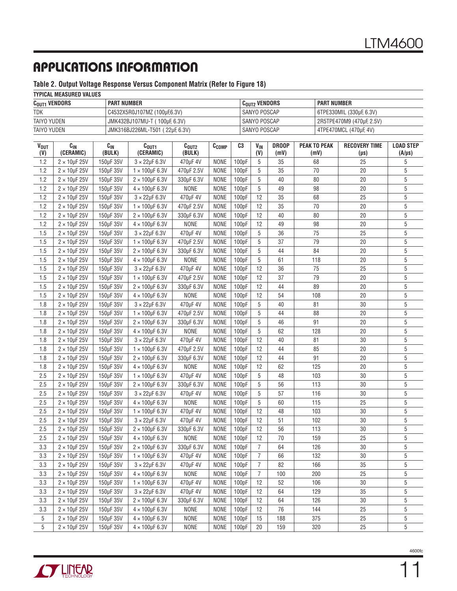#### **Table 2. Output Voltage Response Versus Component Matrix (Refer to Figure 18)**

#### **TYPICAL MEASURED VALUES**

| $C_{\text{OUT1}}$ vendors | <b>PART NUMBER</b>              | C <sub>out2</sub> VENDORS | <b>PART NUMBER</b>        |  |  |  |  |  |  |  |
|---------------------------|---------------------------------|---------------------------|---------------------------|--|--|--|--|--|--|--|
| <b>TDK</b>                | C4532X5R0J107MZ (100µF,6.3V)    | SANYO POSCAP              | 6TPE330MIL (330µF, 6.3V)  |  |  |  |  |  |  |  |
| TAIYO YUDEN               | JMK432BJ107MU-T ( 100µF, 6.3V)  | SANYO POSCAP              | 2R5TPE470M9 (470µF, 2.5V) |  |  |  |  |  |  |  |
| TAIYO YUDEN               | JMK316BJ226ML-T501 (22µF, 6.3V) | SANYO POSCAP              | 4TPE470MCL (470µF, 4V)    |  |  |  |  |  |  |  |

| <b>VOUT</b><br>(V) | $C_{IN}$<br>(CERAMIC)   | $C_{IN}$<br>(BULK) | C <sub>OUT1</sub><br>(CERAMIC) | C <sub>OUT2</sub><br>(BULK) | C <sub>COMP</sub> | C3                 | <b>V<sub>IN</sub></b><br>(V) | <b>DROOP</b><br>(mV) | <b>PEAK TO PEAK</b><br>(mV) | <b>RECOVERY TIME</b><br>$(\mu s)$ | <b>LOAD STEP</b><br>$(A/\mu s)$ |
|--------------------|-------------------------|--------------------|--------------------------------|-----------------------------|-------------------|--------------------|------------------------------|----------------------|-----------------------------|-----------------------------------|---------------------------------|
| 1.2                | $2 \times 10$ µF 25V    | 150µF 35V          | $3 \times 22 \mu F 6.3 V$      | 470µF 4V                    | <b>NONE</b>       | 100pF              | 5                            | 35                   | 68                          | 25                                | 5                               |
| 1.2                | $2 \times 10$ µF 25V    | 150µF 35V          | $1 \times 100$ µF 6.3V         | 470µF 2.5V                  | <b>NONE</b>       | 100pF              | 5                            | 35                   | 70                          | 20                                | 5                               |
| 1.2                | $2 \times 10$ µF 25V    | 150µF 35V          | $2 \times 100 \mu F 6.3 V$     | 330µF 6.3V                  | <b>NONE</b>       | 100pF              | 5                            | 40                   | 80                          | 20                                | 5                               |
| 1.2                | $2 \times 10$ µF 25V    | 150uF 35V          | $4 \times 100$ µF 6.3V         | <b>NONE</b>                 | <b>NONE</b>       | 100pF              | 5                            | 49                   | 98                          | 20                                | 5                               |
| 1.2                | $2 \times 10$ µF 25V    | 150µF 35V          | $3 \times 22 \mu F 6.3 V$      | 470µF 4V                    | <b>NONE</b>       | 100pF              | 12                           | 35                   | 68                          | 25                                | 5                               |
| 1.2                | $2 \times 10$ µF 25V    | 150µF 35V          | $1 \times 100$ µF 6.3V         | 470µF 2.5V                  | <b>NONE</b>       | 100pF              | 12                           | 35                   | 70                          | 20                                | 5                               |
| 1.2                | $2 \times 10$ µF 25V    | 150µF 35V          | $2 \times 100$ µF 6.3V         | 330µF 6.3V                  | <b>NONE</b>       | 100pF              | 12                           | 40                   | 80                          | 20                                | 5                               |
| 1.2                | $2 \times 10$ µF 25V    | 150µF 35V          | $4 \times 100$ µF 6.3V         | <b>NONE</b>                 | <b>NONE</b>       | 100pF              | 12                           | 49                   | 98                          | 20                                | 5                               |
| 1.5                | $2 \times 10$ µF 25V    | 150µF 35V          | $3 \times 22 \mu F 6.3 V$      | 470µF 4V                    | <b>NONE</b>       | 100pF              | 5                            | 36                   | 75                          | 25                                | 5                               |
| 1.5                | $2 \times 10$ µF 25V    | 150µF 35V          | $1 \times 100$ µF 6.3V         | 470µF 2.5V                  | <b>NONE</b>       | 100pF              | 5                            | 37                   | 79                          | 20                                | 5                               |
| 1.5                | $2 \times 10$ µF 25V    | 150µF 35V          | $2 \times 100$ µF 6.3V         | 330µF 6.3V                  | <b>NONE</b>       | 100pF              | 5                            | 44                   | 84                          | 20                                | 5                               |
| 1.5                | $2 \times 10$ µF 25V    | 150µF 35V          | $4 \times 100$ µF 6.3V         | <b>NONE</b>                 | <b>NONE</b>       | 100pF              | 5                            | 61                   | 118                         | 20                                | 5                               |
| 1.5                | $2 \times 10$ µF 25V    | 150µF 35V          | $3 \times 22 \mu F 6.3 V$      | 470µF 4V                    | <b>NONE</b>       | 100pF              | 12                           | 36                   | 75                          | 25                                | 5                               |
| 1.5                | $2 \times 10$ µF 25V    | 150µF 35V          | $1 \times 100$ µF 6.3V         | 470µF 2.5V                  | <b>NONE</b>       | 100pF              | 12                           | 37                   | 79                          | 20                                | 5                               |
| 1.5                | $2 \times 10$ µF 25V    | 150µF 35V          | $2 \times 100$ µF 6.3V         | 330µF 6.3V                  | <b>NONE</b>       | 100pF              | 12                           | 44                   | 89                          | 20                                | 5                               |
| 1.5                | $2 \times 10$ µF 25V    | 150µF 35V          | $4 \times 100$ µF 6.3V         | <b>NONE</b>                 | <b>NONE</b>       | 100pF              | 12                           | 54                   | 108                         | 20                                | 5                               |
| 1.8                | $2 \times 10$ µF 25V    | 150µF 35V          | $3 \times 22 \mu F 6.3 V$      | 470µF 4V                    | <b>NONE</b>       | 100 <sub>p</sub> F | 5                            | 40                   | 81                          | 30                                | 5                               |
| 1.8                | $2 \times 10$ µF 25V    | 150µF 35V          | $1 \times 100$ µF 6.3V         | 470µF 2.5V                  | <b>NONE</b>       | 100pF              | 5                            | 44                   | 88                          | 20                                | 5                               |
| 1.8                | $2 \times 10$ µF 25V    | 150µF 35V          | $2 \times 100$ µF 6.3V         | 330µF 6.3V                  | <b>NONE</b>       | 100pF              | 5                            | 46                   | 91                          | 20                                | 5                               |
| 1.8                | $2 \times 10$ µF 25V    | 150µF 35V          | $4 \times 100 \mu F 6.3 V$     | <b>NONE</b>                 | <b>NONE</b>       | 100pF              | 5                            | 62                   | 128                         | 20                                | 5                               |
| 1.8                | $2 \times 10$ µF 25V    | 150µF 35V          | $3 \times 22 \mu F 6.3 V$      | 470µF 4V                    | <b>NONE</b>       | 100pF              | 12                           | 40                   | 81                          | 30                                | 5                               |
| 1.8                | $2 \times 10$ µF 25V    | 150µF 35V          | $1 \times 100$ µF 6.3V         | 470µF 2.5V                  | <b>NONE</b>       | 100pF              | 12                           | 44                   | 85                          | 20                                | 5                               |
| 1.8                | $2 \times 10$ µF 25V    | 150µF 35V          | $2 \times 100$ µF 6.3V         | 330µF 6.3V                  | <b>NONE</b>       | 100pF              | 12                           | 44                   | 91                          | 20                                | 5                               |
| 1.8                | $2 \times 10$ µF 25V    | 150µF 35V          | $4 \times 100$ µF 6.3V         | <b>NONE</b>                 | <b>NONE</b>       | 100pF              | 12                           | 62                   | 125                         | 20                                | 5                               |
| 2.5                | $2 \times 10$ µF 25V    | 150µF 35V          | $1 \times 100$ µF 6.3V         | 470µF 4V                    | <b>NONE</b>       | 100pF              | 5                            | 48                   | 103                         | 30                                | 5                               |
| 2.5                | $2 \times 10$ µF 25V    | 150µF 35V          | $2 \times 100$ µF 6.3V         | 330µF 6.3V                  | <b>NONE</b>       | 100pF              | 5                            | 56                   | 113                         | 30                                | 5                               |
| 2.5                | $2 \times 10$ µF 25V    | 150µF 35V          | $3 \times 22 \mu F 6.3 V$      | 470µF 4V                    | <b>NONE</b>       | 100pF              | 5                            | 57                   | 116                         | 30                                | 5                               |
| 2.5                | $2 \times 10$ µF 25V    | 150µF 35V          | $4 \times 100$ µF 6.3V         | <b>NONE</b>                 | <b>NONE</b>       | 100pF              | 5                            | 60                   | 115                         | 25                                | 5                               |
| 2.5                | $2 \times 10$ µF 25V    | 150µF 35V          | $1 \times 100$ µF 6.3V         | 470µF 4V                    | <b>NONE</b>       | 100pF              | 12                           | 48                   | 103                         | 30                                | 5                               |
| 2.5                | $2 \times 10$ µF 25V    | 150µF 35V          | $3 \times 22 \mu F 6.3 V$      | 470µF 4V                    | <b>NONE</b>       | 100pF              | 12                           | 51                   | 102                         | 30                                | 5                               |
| 2.5                | $2 \times 10$ µF 25V    | 150µF 35V          | $2 \times 100$ µF 6.3V         | 330µF 6.3V                  | <b>NONE</b>       | 100pF              | 12                           | 56                   | 113                         | 30                                | 5                               |
| 2.5                | $2 \times 10$ µF 25V    | 150µF 35V          | $4 \times 100$ µF 6.3V         | <b>NONE</b>                 | <b>NONE</b>       | 100pF              | 12                           | 70                   | 159                         | 25                                | 5                               |
| 3.3                | $2 \times 10$ µF 25V    | 150µF 35V          | $2 \times 100$ µF 6.3V         | 330µF 6.3V                  | <b>NONE</b>       | 100pF              | 7                            | 64                   | 126                         | 30                                | 5                               |
| 3.3                | $2 \times 10$ µF 25V    | 150µF 35V          | $1 \times 100$ µF 6.3V         | 470µF 4V                    | <b>NONE</b>       | 100pF              | 7                            | 66                   | 132                         | 30                                | 5                               |
| 3.3                | $2 \times 10$ µF 25V    | 150µF 35V          | $3 \times 22 \mu F 6.3 V$      | 470µF 4V                    | <b>NONE</b>       | 100pF              | $\overline{I}$               | 82                   | 166                         | 35                                | 5                               |
| $3.3\,$            | $2 \times 10 \mu F$ 25V | 150µF 35V          | $4\times100$ µF 6.3V           | NONE                        | NONE              | 100pF              | $\sqrt{7}$                   | 100                  | 200                         | 25                                | 5                               |
| 3.3                | $2 \times 10$ µF 25V    | 150µF 35V          | $1 \times 100$ µF 6.3V         | 470µF 4V                    | NONE              | 100pF              | 12                           | 52                   | 106                         | 30                                | 5                               |
| 3.3                | $2 \times 10$ µF 25V    | 150µF 35V          | $3 \times 22 \mu F 6.3 V$      | 470µF 4V                    | <b>NONE</b>       | 100pF              | 12                           | 64                   | 129                         | 35                                | 5                               |
| 3.3                | $2 \times 10$ µF 25V    | 150µF 35V          | $2 \times 100$ µF 6.3V         | 330µF 6.3V                  | <b>NONE</b>       | 100pF              | 12                           | 64                   | 126                         | 30                                | 5                               |
| 3.3                | $2 \times 10$ µF 25V    | 150µF 35V          | $4 \times 100$ µF 6.3V         | <b>NONE</b>                 | <b>NONE</b>       | 100pF              | 12                           | 76                   | 144                         | 25                                | 5                               |
| 5                  | $2 \times 10$ µF 25V    | 150µF 35V          | $4 \times 100$ µF 6.3V         | <b>NONE</b>                 | <b>NONE</b>       | 100pF              | 15                           | 188                  | 375                         | 25                                | 5                               |
| 5                  | $2 \times 10$ µF 25V    | 150µF 35V          | $4 \times 100$ µF 6.3V         | <b>NONE</b>                 | <b>NONE</b>       | 100pF              | 20                           | 159                  | 320                         | 25                                | 5                               |



11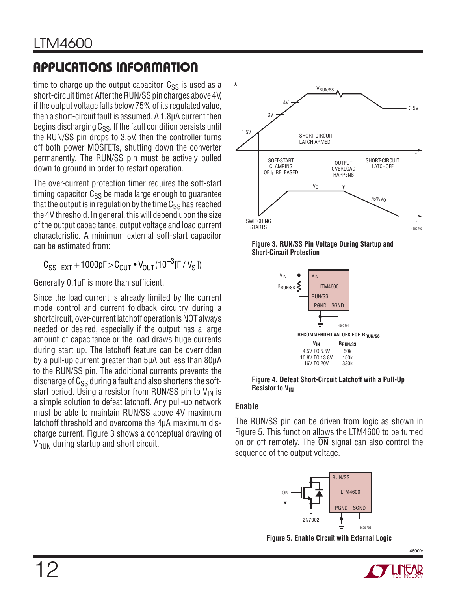time to charge up the output capacitor,  $C_{SS}$  is used as a short-circuit timer. After the RUN/SS pin charges above 4V, if the output voltage falls below 75% of its regulated value, then a short-circuit fault is assumed. A 1.8μA current then begins discharging  $C_{SS}$ . If the fault condition persists until the RUN/SS pin drops to 3.5V, then the controller turns off both power MOSFETs, shutting down the converter permanently. The RUN/SS pin must be actively pulled down to ground in order to restart operation.

The over-current protection timer requires the soft-start timing capacitor  $C_{SS}$  be made large enough to quarantee that the output is in regulation by the time  $C_{SS}$  has reached the 4V threshold. In general, this will depend upon the size of the output capacitance, output voltage and load current characteristic. A minimum external soft-start capacitor can be estimated from:

 $C_{SS FXT}$  + 1000pF >  $C_{OUT}$  •  $V_{OUT}$  (10<sup>-3</sup> [F /  $V_S$ ])

Generally  $0.1 \mu F$  is more than sufficient.

Since the load current is already limited by the current mode control and current foldback circuitry during a shortcircuit, over-current latchoff operation is NOT always needed or desired, especially if the output has a large amount of capacitance or the load draws huge currents during start up. The latchoff feature can be overridden by a pull-up current greater than 5μA but less than 80μA to the RUN/SS pin. The additional currents prevents the discharge of  $C_{SS}$  during a fault and also shortens the softstart period. Using a resistor from RUN/SS pin to  $V_{IN}$  is a simple solution to defeat latchoff. Any pull-up network must be able to maintain RUN/SS above 4V maximum latchoff threshold and overcome the 4μA maximum discharge current. Figure 3 shows a conceptual drawing of  $V_{\text{RUN}}$  during startup and short circuit.



**Figure 3. RUN/SS Pin Voltage During Startup and Short-Circuit Protection**



**Figure 4. Defeat Short-Circuit Latchoff with a Pull-Up Resistor to V<sub>IN</sub>** 

### **Enable**

The RUN/SS pin can be driven from logic as shown in Figure 5. This function allows the LTM4600 to be turned on or off remotely. The  $\overline{ON}$  signal can also control the sequence of the output voltage.



**Figure 5. Enable Circuit with External Logic**



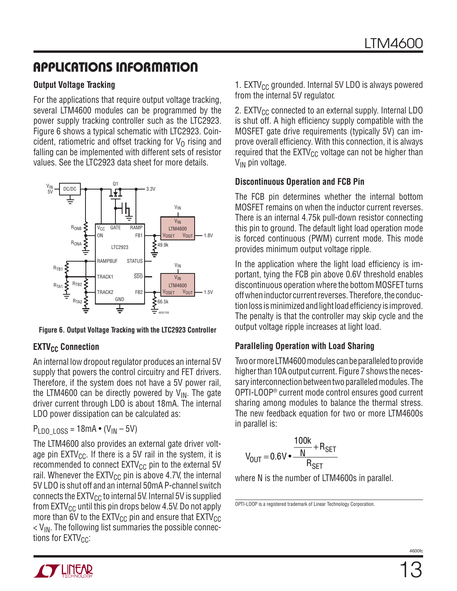### **Output Voltage Tracking**

For the applications that require output voltage tracking, several LTM4600 modules can be programmed by the power supply tracking controller such as the LTC2923. Figure 6 shows a typical schematic with LTC2923. Coincident, ratiometric and offset tracking for  $V<sub>0</sub>$  rising and falling can be implemented with different sets of resistor values. See the LTC2923 data sheet for more details.



**Figure 6. Output Voltage Tracking with the LTC2923 Controller**

### **EXTV<sub>CC</sub>** Connection

An internal low dropout regulator produces an internal 5V supply that powers the control circuitry and FET drivers. Therefore, if the system does not have a 5V power rail, the LTM4600 can be directly powered by  $V_{IN}$ . The gate driver current through LDO is about 18mA. The internal LDO power dissipation can be calculated as:

 $P_{LDO-LOS} = 18mA \cdot (V_{IN} - 5V)$ 

The LTM4600 also provides an external gate driver voltage pin  $EXTV_{CC}$ . If there is a 5V rail in the system, it is recommended to connect  $EXTV_{CC}$  pin to the external 5V rail. Whenever the EXTV<sub>CC</sub> pin is above 4.7V, the internal 5V LDO is shut off and an internal 50mA P-channel switch connects the  $\text{EXTV}_{\text{CC}}$  to internal 5V. Internal 5V is supplied from  $EXTV_{CC}$  until this pin drops below 4.5V. Do not apply more than 6V to the  $EXTV_{CC}$  pin and ensure that  $EXTV_{CC}$  $V_{\text{IN}}$ . The following list summaries the possible connections for  $EXTV_{CC}$ :

1. EXTV $_{CC}$  grounded. Internal 5V LDO is always powered from the internal 5V regulator.

2. EXTV $_{\text{CC}}$  connected to an external supply. Internal LDO is shut off. A high efficiency supply compatible with the MOSFET gate drive requirements (typically 5V) can improve overall efficiency. With this connection, it is always required that the  $EXTV_{CC}$  voltage can not be higher than V<sub>IN</sub> pin voltage.

### **Discontinuous Operation and FCB Pin**

The FCB pin determines whether the internal bottom MOSFET remains on when the inductor current reverses. There is an internal 4.75k pull-down resistor connecting this pin to ground. The default light load operation mode is forced continuous (PWM) current mode. This mode provides minimum output voltage ripple.

In the application where the light load efficiency is important, tying the FCB pin above 0.6V threshold enables discontinuous operation where the bottom MOSFET turns off when inductor current reverses. Therefore, the conduction loss is minimized and light load efficiency is improved. The penalty is that the controller may skip cycle and the output voltage ripple increases at light load.

### **Paralleling Operation with Load Sharing**

Two or more LTM4600 modules can be paralleled to provide higher than 10A output current. Figure 7 shows the necessary interconnection between two paralleled modules. The OPTI-LOOP® current mode control ensures good current sharing among modules to balance the thermal stress. The new feedback equation for two or more LTM4600s in parallel is:

$$
V_{OUT} = 0.6 \text{V} \cdot \frac{100 \text{k}}{N} + R_{SET}
$$

where N is the number of LTM4600s in parallel.

OPTI-LOOP is a registered trademark of Linear Technology Corporation.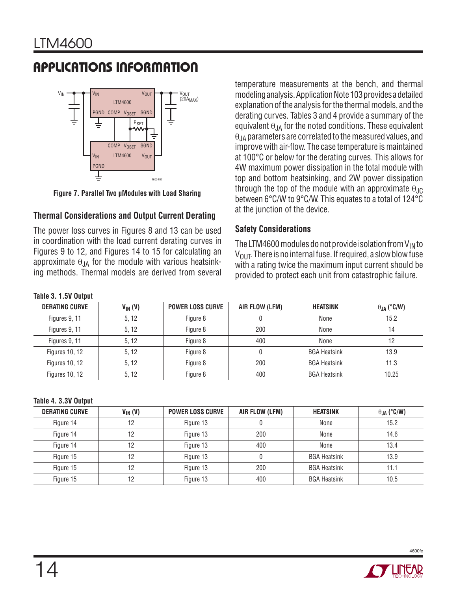

**Figure 7. Parallel Two μModules with Load Sharing**

### **Thermal Considerations and Output Current Derating**

The power loss curves in Figures 8 and 13 can be used in coordination with the load current derating curves in Figures 9 to 12, and Figures 14 to 15 for calculating an approximate  $\theta_{JA}$  for the module with various heatsinking methods. Thermal models are derived from several

temperature measurements at the bench, and thermal modeling analysis. Application Note 103 provides a detailed explanation of the analysis for the thermal models, and the derating curves. Tables 3 and 4 provide a summary of the equivalent  $\theta_{JA}$  for the noted conditions. These equivalent  $\theta$ <sub>JA</sub> parameters are correlated to the measured values, and improve with air-flow. The case temperature is maintained at 100°C or below for the derating curves. This allows for 4W maximum power dissipation in the total module with top and bottom heatsinking, and 2W power dissipation through the top of the module with an approximate  $\theta_{\text{JC}}$ between 6°C/W to 9°C/W. This equates to a total of 124°C at the junction of the device.

### **Safety Considerations**

The LTM4600 modules do not provide isolation from  $V_{IN}$  to  $V_{\text{OUT}}$ . There is no internal fuse. If required, a slow blow fuse with a rating twice the maximum input current should be provided to protect each unit from catastrophic failure.

| $1.4.410$ $0.1101$ $0.1010$ |              |                         |                |                     |                      |
|-----------------------------|--------------|-------------------------|----------------|---------------------|----------------------|
| <b>DERATING CURVE</b>       | $V_{IN} (V)$ | <b>POWER LOSS CURVE</b> | AIR FLOW (LFM) | <b>HEATSINK</b>     | $\theta_{JA}$ (°C/W) |
| Figures 9, 11               | 5, 12        | Figure 8                |                | None                | 15.2                 |
| Figures 9, 11               | 5, 12        | Figure 8                | 200            | None                | 14                   |
| Figures 9, 11               | 5.12         | Figure 8                | 400            | None                | 12                   |
| <b>Figures 10, 12</b>       | 5.12         | Figure 8                |                | <b>BGA Heatsink</b> | 13.9                 |
| <b>Figures 10, 12</b>       | 5, 12        | Figure 8                | 200            | <b>BGA Heatsink</b> | 11.3                 |
| <b>Figures 10, 12</b>       | 5, 12        | Figure 8                | 400            | <b>BGA Heatsink</b> | 10.25                |

**Table 4. 3.3V Output**

**Table 3. 1.5V Output**

| <b>DERATING CURVE</b> | $V_{IN} (V)$ | <b>POWER LOSS CURVE</b> | AIR FLOW (LFM) | <b>HEATSINK</b>     | $\theta_{JA}$ (°C/W) |
|-----------------------|--------------|-------------------------|----------------|---------------------|----------------------|
| Figure 14             | 12           | Figure 13               |                | None                | 15.2                 |
| Figure 14             | 12           | Figure 13               | 200            | None                | 14.6                 |
| Figure 14             | 12           | Figure 13               | 400            | None                | 13.4                 |
| Figure 15             | 12           | Figure 13               |                | <b>BGA Heatsink</b> | 13.9                 |
| Figure 15             | 12           | Figure 13               | 200            | <b>BGA Heatsink</b> | 11.1                 |
| Figure 15             | 12           | Figure 13               | 400            | <b>BGA Heatsink</b> | 10.5                 |

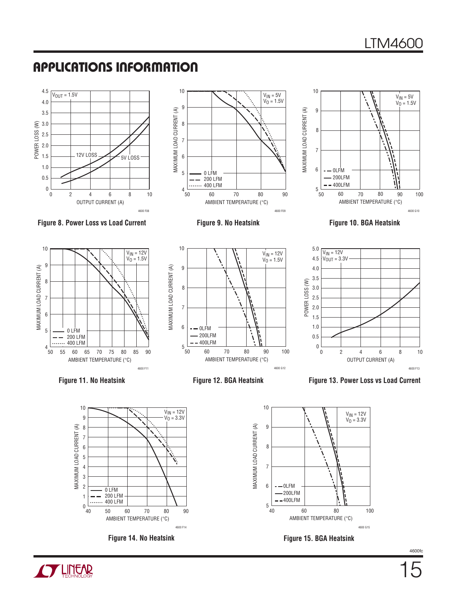





Figure 8. Power Loss vs Load Current **Figure 9. No Heatsink** Figure 10. BGA Heatsink



**CYLINEAR** 











**Figure 14. No Heatsink Figure 15. BGA Heatsink**

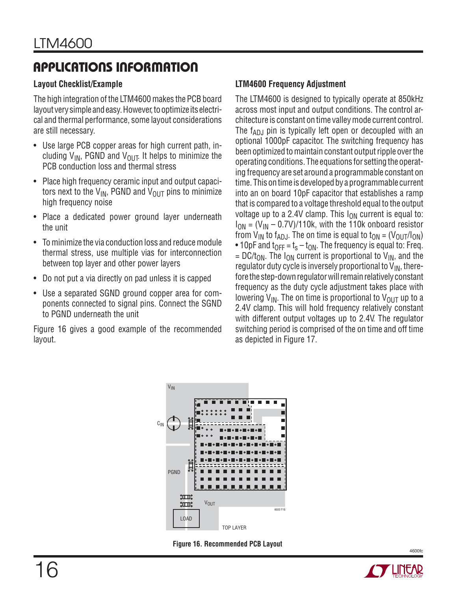### **Layout Checklist/Example**

The high integration of the LTM4600 makes the PCB board layout very simple and easy. However, to optimize its electrical and thermal performance, some layout considerations are still necessary.

- Use large PCB copper areas for high current path, including  $V_{IN}$ , PGND and  $V_{OUT}$ . It helps to minimize the PCB conduction loss and thermal stress
- Place high frequency ceramic input and output capacitors next to the  $V_{IN}$ , PGND and  $V_{OUT}$  pins to minimize high frequency noise
- Place a dedicated power ground layer underneath the unit
- To minimize the via conduction loss and reduce module thermal stress, use multiple vias for interconnection between top layer and other power layers
- Do not put a via directly on pad unless it is capped
- Use a separated SGND ground copper area for components connected to signal pins. Connect the SGND to PGND underneath the unit

Figure 16 gives a good example of the recommended layout.

### **LTM4600 Frequency Adjustment**

The LTM4600 is designed to typically operate at 850kHz across most input and output conditions. The control architecture is constant on time valley mode current control. The  $f_{AD,J}$  pin is typically left open or decoupled with an optional 1000pF capacitor. The switching frequency has been optimized to maintain constant output ripple over the operating conditions. The equations for setting the operating frequency are set around a programmable constant on time. This on time is developed by a programmable current into an on board 10pF capacitor that establishes a ramp that is compared to a voltage threshold equal to the output voltage up to a 2.4V clamp. This  $I_{ON}$  current is equal to:  $I_{\text{ON}} = (V_{\text{IN}} - 0.7V)/110k$ , with the 110k onboard resistor from  $V_{IN}$  to f<sub>ADJ</sub>. The on time is equal to  $t_{ON} = (V_{OUT}/I_{ON})$ • 10pF and  $t_{OFF} = t_s - t_{ON}$ . The frequency is equal to: Freq. =  $DC/t_{ON}$ . The I<sub>ON</sub> current is proportional to V<sub>IN</sub>, and the regulator duty cycle is inversely proportional to  $V_{IN}$ , therefore the step-down regulator will remain relatively constant frequency as the duty cycle adjustment takes place with lowering  $V_{IN}$ . The on time is proportional to  $V_{OUT}$  up to a 2.4V clamp. This will hold frequency relatively constant with different output voltages up to 2.4V. The regulator switching period is comprised of the on time and off time as depicted in Figure 17.



**Figure 16. Recommended PCB Layout**

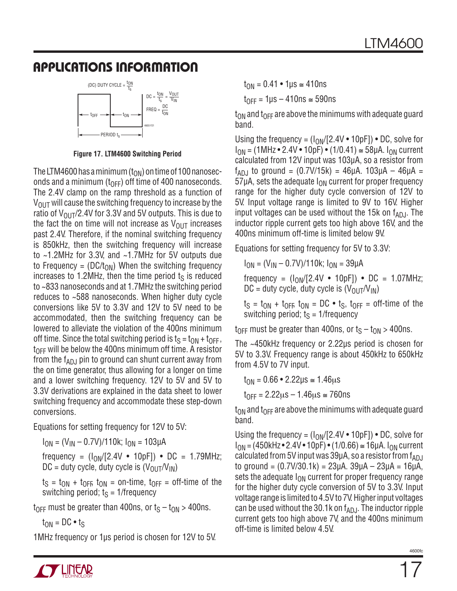

**Figure 17. LTM4600 Switching Period**

The LTM4600 has a minimum ( $t_{\text{ON}}$ ) on time of 100 nanoseconds and a minimum ( $t_{\text{OFF}}$ ) off time of 400 nanoseconds. The 2.4V clamp on the ramp threshold as a function of  $V_{\text{OUT}}$  will cause the switching frequency to increase by the ratio of  $V_{\text{OUT}}/2.4V$  for 3.3V and 5V outputs. This is due to the fact the on time will not increase as  $V_{\text{OUT}}$  increases past 2.4V. Therefore, if the nominal switching frequency is 850kHz, then the switching frequency will increase to ~1.2MHz for 3.3V, and ~1.7MHz for 5V outputs due to Frequency = (DC/t<sub>ON</sub>) When the switching frequency increases to 1.2MHz, then the time period  $t<sub>S</sub>$  is reduced to ~833 nanoseconds and at 1.7MHz the switching period reduces to ~588 nanoseconds. When higher duty cycle conversions like 5V to 3.3V and 12V to 5V need to be accommodated, then the switching frequency can be lowered to alleviate the violation of the 400ns minimum off time. Since the total switching period is  $t_S = t_{ON} + t_{OFF}$ ,  $t_{\text{OFF}}$  will be below the 400ns minimum off time. A resistor from the  $f_{AD,I}$  pin to ground can shunt current away from the on time generator, thus allowing for a longer on time and a lower switching frequency. 12V to 5V and 5V to 3.3V derivations are explained in the data sheet to lower switching frequency and accommodate these step-down conversions.

Equations for setting frequency for 12V to 5V:

 $I_{ON} = (V_{IN} - 0.7V)/110k$ ;  $I_{ON} = 103 \mu A$ 

frequency =  $(I_{ON}/[2.4V \cdot 10pF]) \cdot DC = 1.79MHz$ ;  $DC =$  duty cycle, duty cycle is  $(V_{OUT}/V_{IN})$ 

 $t_S = t_{ON} + t_{OFF}$ ,  $t_{ON} =$  on-time,  $t_{OFF} =$  off-time of the switching period;  $t<sub>S</sub> = 1$ /frequency

 $t_{\text{OFF}}$  must be greater than 400ns, or  $t_{\text{S}} - t_{\text{ON}} > 400$ ns.

 $t_{ON} = DC \cdot t_S$ 

1MHz frequency or 1μs period is chosen for 12V to 5V.

 $t_{ON} = 0.41 \cdot 1 \text{ }\circ \text{ } \leq 410 \text{ns}$ 

 $t_{\text{OFF}}$  = 1us – 410ns  $\approx$  590ns

 $t_{ON}$  and  $t_{OFF}$  are above the minimums with adequate guard band.

Using the frequency =  $(I_{ON}/[2.4V \cdot 10pF]) \cdot DC$ , solve for  $I_{ON} = (1 MHz \cdot 2.4 V \cdot 10pF) \cdot (1/0.41) \approx 58 \mu A$ .  $I_{ON}$  current calculated from 12V input was 103μA, so a resistor from  $f_{AD,J}$  to ground = (0.7V/15k) = 46μA. 103μA – 46μA =  $57\mu$ A, sets the adequate  $I_{ON}$  current for proper frequency range for the higher duty cycle conversion of 12V to 5V. Input voltage range is limited to 9V to 16V. Higher input voltages can be used without the 15 $k$  on  $f_{ADJ}$ . The inductor ripple current gets too high above 16V, and the 400ns minimum off-time is limited below 9V.

Equations for setting frequency for 5V to 3.3V:

 $I_{ON} = (V_{IN} - 0.7V)/110k$ ;  $I_{ON} = 39 \mu A$ 

frequency =  $(I_{ON}/[2.4V \cdot 10pF]) \cdot DC = 1.07MHz;$  $DC =$  duty cycle, duty cycle is  $(V_{OUT}/V_{IN})$ 

 $t_S = t_{ON} + t_{OFF}$ ,  $t_{ON} = DC \cdot t_S$ ,  $t_{OFF} = off-time$  of the switching period;  $t_s = 1$ /frequency

 $t_{OFF}$  must be greater than 400ns, or  $t_S - t_{ON} > 400$ ns.

The ~450kHz frequency or 2.22μs period is chosen for 5V to 3.3V. Frequency range is about 450kHz to 650kHz from 4.5V to 7V input.

 $t_{ON} = 0.66 \cdot 2.22 \mu s \approx 1.46 \mu s$ 

 $t_{\text{OFF}} = 2.22 \mu s - 1.46 \mu s \approx 760 \text{ns}$ 

 $t_{ON}$  and  $t_{OFF}$  are above the minimums with adequate guard band.

Using the frequency =  $(I_{ON}/[2.4V \cdot 10pF]) \cdot DC$ , solve for  $I_{ON} = (450kHz \cdot 2.4V \cdot 10pF) \cdot (1/0.66) \approx 16\mu A$ .  $I_{ON}$  current calculated from 5V input was  $39\mu$ A, so a resistor from  $f_{AD,I}$ to ground = (0.7V/30.1k) = 23μA. 39μA – 23μA = 16μA, sets the adequate  $I_{ON}$  current for proper frequency range for the higher duty cycle conversion of 5V to 3.3V. Input voltage range is limited to 4.5V to 7V. Higher input voltages can be used without the 30.1k on  $f_{ADJ}$ . The inductor ripple current gets too high above 7V, and the 400ns minimum off-time is limited below 4.5V.

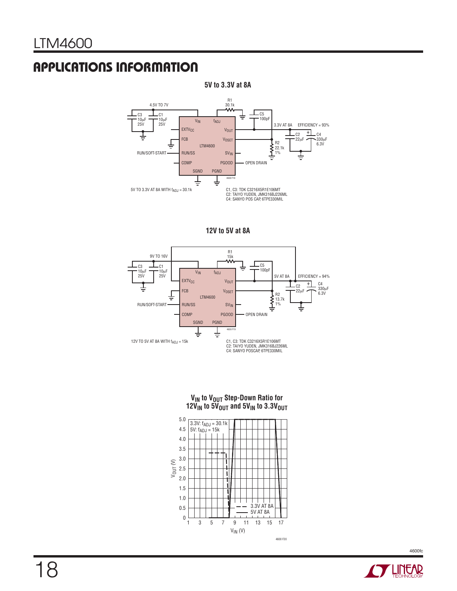

**5V to 3.3V at 8A**

**12V to 5V at 8A**



**VIN to VOUT Step-Down Ratio for 12VIN to 5VOUT and 5VIN to 3.3VOUT**



**STARTED BY LINEAR**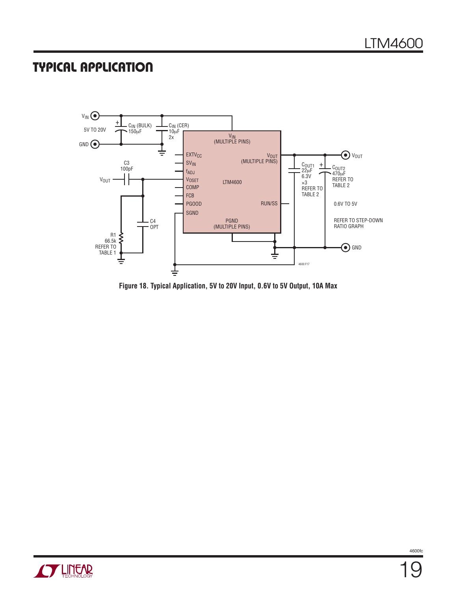### **TYPICAL APPLICATION**



**Figure 18. Typical Application, 5V to 20V Input, 0.6V to 5V Output, 10A Max**

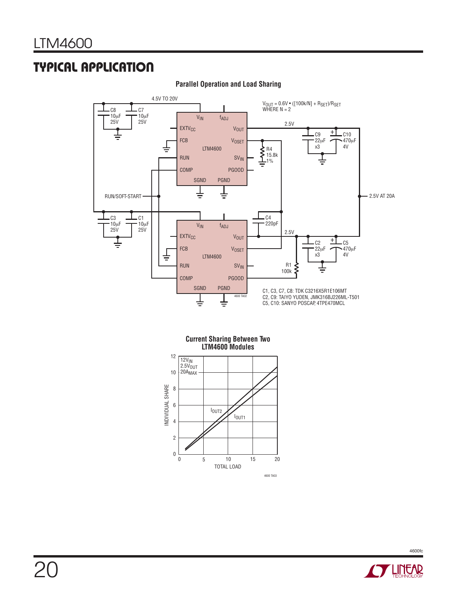# **TYPICAL APPLICATION**



**Parallel Operation and Load Sharing**

**Current Sharing Between Two LTM4600 Modules**



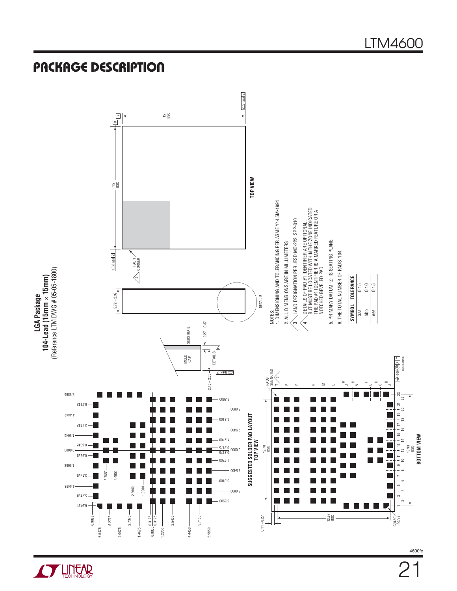

LTM4600

2

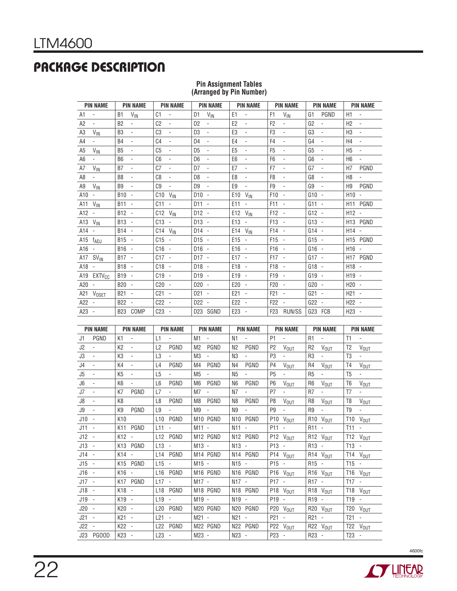# **PACKAGE DESCRIPTION**

| <b>PIN NAME</b>                            | <b>PIN NAME</b>                            | <b>PIN NAME</b>                             | <b>PIN NAME</b>                             | <b>PIN NAME</b>                             | <b>PIN NAME</b>                             | <b>PIN NAME</b>                            | <b>PIN NAME</b>                            |
|--------------------------------------------|--------------------------------------------|---------------------------------------------|---------------------------------------------|---------------------------------------------|---------------------------------------------|--------------------------------------------|--------------------------------------------|
| A1<br>$\sim$                               | $V_{IN}$<br>B <sub>1</sub>                 | C1<br>$\blacksquare$                        | $V_{IN}$<br>D <sub>1</sub>                  | E1<br>÷,                                    | $V_{\text{IN}}$<br>F <sub>1</sub>           | PGND<br>G <sub>1</sub>                     | H1<br>$\overline{\phantom{a}}$             |
| A2<br>÷.                                   | <b>B2</b><br>$\overline{\phantom{a}}$      | C <sub>2</sub><br>$\overline{\phantom{a}}$  | D <sub>2</sub><br>$\blacksquare$            | E <sub>2</sub><br>ä,                        | F <sub>2</sub>                              | G <sub>2</sub><br>÷.                       | H <sub>2</sub><br>$\blacksquare$           |
| A3<br>$V_{IN}$                             | B <sub>3</sub><br>$\overline{\phantom{a}}$ | C <sub>3</sub><br>$\overline{\phantom{a}}$  | D <sub>3</sub><br>$\overline{\phantom{a}}$  | E <sub>3</sub><br>$\blacksquare$            | F <sub>3</sub><br>$\overline{\phantom{0}}$  | G <sub>3</sub><br>$\overline{\phantom{a}}$ | H <sub>3</sub><br>$\blacksquare$           |
| A4<br>$\blacksquare$                       | <b>B4</b><br>$\overline{\phantom{a}}$      | C <sub>4</sub><br>$\overline{\phantom{a}}$  | D <sub>4</sub><br>$\overline{\phantom{a}}$  | E <sub>4</sub><br>$\overline{\phantom{a}}$  | F <sub>4</sub><br>٠                         | G <sub>4</sub><br>$\overline{\phantom{a}}$ | H <sub>4</sub><br>$\overline{\phantom{a}}$ |
| A <sub>5</sub><br>$V_{IN}$                 | B <sub>5</sub><br>$\overline{\phantom{a}}$ | C <sub>5</sub><br>$\blacksquare$            | D <sub>5</sub><br>$\blacksquare$            | E <sub>5</sub><br>ä,                        | F <sub>5</sub>                              | G <sub>5</sub><br>$\overline{\phantom{a}}$ | H <sub>5</sub><br>$\blacksquare$           |
| A <sub>6</sub><br>$\overline{\phantom{a}}$ | B <sub>6</sub><br>$\overline{\phantom{a}}$ | C <sub>6</sub><br>$\overline{\phantom{a}}$  | D <sub>6</sub><br>$\overline{\phantom{a}}$  | E <sub>6</sub><br>$\overline{\phantom{a}}$  | F <sub>6</sub><br>$\overline{\phantom{a}}$  | G <sub>6</sub><br>$\overline{\phantom{a}}$ | H <sub>6</sub><br>$\overline{\phantom{a}}$ |
| A7<br>$V_{IN}$                             | B7<br>$\overline{\phantom{a}}$             | C <sub>0</sub><br>$\overline{\phantom{a}}$  | D <sub>7</sub><br>$\overline{\phantom{a}}$  | E7<br>$\overline{\phantom{a}}$              | F7<br>$\overline{\phantom{a}}$              | G7<br>$\overline{\phantom{a}}$             | PGND<br>H7                                 |
| A8<br>$\blacksquare$                       | B <sub>8</sub><br>$\overline{\phantom{a}}$ | C8<br>$\blacksquare$                        | D <sub>8</sub><br>$\overline{\phantom{a}}$  | E <sub>8</sub><br>$\blacksquare$            | F <sub>8</sub><br>$\overline{\phantom{0}}$  | G8<br>$\overline{\phantom{a}}$             | H <sub>8</sub><br>$\blacksquare$           |
| A9<br>$V_{IN}$                             | B <sub>9</sub><br>$\overline{\phantom{a}}$ | C9<br>$\overline{\phantom{a}}$              | D <sub>9</sub><br>$\overline{\phantom{a}}$  | E <sub>9</sub><br>$\overline{\phantom{a}}$  | F <sub>9</sub><br>$\overline{\phantom{0}}$  | G9<br>$\overline{\phantom{a}}$             | PGND<br>H <sub>9</sub>                     |
| $A10 -$                                    | <b>B10</b><br>$\sim$                       | C10<br>$V_{IN}$                             | $D10 -$                                     | E10<br>$V_{IN}$                             | F <sub>10</sub><br>$\blacksquare$           | $G10 -$                                    | $H10 -$                                    |
| A11 $V_{IN}$                               | $B11 -$                                    | C11<br>$\blacksquare$                       | $D11 -$                                     | E11<br>$\overline{\phantom{a}}$             | F11<br>$\blacksquare$                       | $G11 -$                                    | H <sub>11</sub> PGND                       |
| $A12 -$                                    | B12 -                                      | $C12$ $V_{IN}$                              | $D12 -$                                     | E12 $V_{IN}$                                | F <sub>12</sub><br>$\overline{\phantom{a}}$ | $G12 -$                                    | $H12 -$                                    |
| A13 $V_{IN}$                               | $B13 -$                                    | $C13 -$                                     | $D13 -$                                     | $E13 -$                                     | F <sub>13</sub><br>$\blacksquare$           | $G13 -$                                    | H <sub>13</sub> PGND                       |
| A14 -                                      | $B14 -$                                    | $C14$ $V_{IN}$                              | $D14 -$                                     | $E14$ $V_{IN}$                              | F <sub>14</sub><br>$\overline{\phantom{a}}$ | $G14 -$                                    | $H14 -$                                    |
| A15 fADJ                                   | $B15 -$                                    | $C15 -$                                     | $D15 -$                                     | $E15 -$                                     | F <sub>15</sub><br>$\sim$                   | $G15 -$                                    | H <sub>15</sub> PGND                       |
| A16 -                                      | $B16 -$                                    | $C16 -$                                     | $D16 -$                                     | $E16 -$                                     | F16                                         | $G16 -$                                    | $H16 -$                                    |
| A17 SV <sub>IN</sub>                       | $B17 -$                                    | $C17 -$                                     | $D17 -$                                     | $E17 -$                                     | F17<br>$\sim$                               | $G17 -$                                    | H17 PGND                                   |
| A18 -                                      | B <sub>18</sub> -                          | $C18 -$                                     | $D18 -$                                     | $E18 -$                                     | F18<br>$\overline{\phantom{a}}$             | $G18 -$                                    | $H18 -$                                    |
| A19 EXTV <sub>CC</sub>                     | B <sub>19</sub> -                          | $C19 -$                                     | $D19 -$                                     | $E19 -$                                     | F <sub>19</sub><br>$\sim$                   | $G19 -$                                    | $H19 -$                                    |
| A20 -                                      | $B20 -$                                    | $C20 -$                                     | $D20 -$                                     | $E20 -$                                     | F <sub>20</sub><br>$\sim$                   | $G20 -$                                    | $H20 -$                                    |
| A21 V <sub>OSET</sub>                      | $B21 -$                                    | C <sub>21</sub><br>$\blacksquare$           | $D21 -$                                     | E <sub>21</sub><br>$\overline{\phantom{a}}$ | F <sub>21</sub>                             | $G21 -$                                    | $H21 -$                                    |
| $A22 -$                                    | <b>B22</b><br>$\sim$                       | C22<br>$\overline{\phantom{a}}$             | D <sub>22</sub><br>$\overline{\phantom{a}}$ | E <sub>22</sub><br>$\sim$                   | F <sub>22</sub>                             | G22<br>$\sim$                              | $H22 -$                                    |
| $A23 -$                                    | <b>B23</b><br>COMP                         | C <sub>23</sub><br>$\overline{\phantom{a}}$ | D23 SGND                                    | E23<br>$\overline{\phantom{a}}$             | <b>RUN/SS</b><br>F <sub>23</sub>            | FCB<br>G23                                 | $H23 -$                                    |

#### **Pin Assignment Tables (Arranged by Pin Number)**

| <b>PIN NAME</b>                 | <b>PIN NAME</b>                            | <b>PIN NAME</b>                            | <b>PIN NAME</b>                  | <b>PIN NAME</b>                               | <b>PIN NAME</b>                            | <b>PIN NAME</b>                               | <b>PIN NAME</b>                            |
|---------------------------------|--------------------------------------------|--------------------------------------------|----------------------------------|-----------------------------------------------|--------------------------------------------|-----------------------------------------------|--------------------------------------------|
| PGND<br>J1                      | K1<br>$\omega$                             | L1<br>$\overline{\phantom{a}}$             | M1<br>$\sim$                     | N <sub>1</sub><br>$\omega_{\rm{max}}$         | P <sub>1</sub><br>$\sim$                   | $R1 -$                                        | T1<br>$\sim$                               |
| J2<br>$\mathcal{L}$             | K <sub>2</sub><br>$\blacksquare$           | PGND<br>L2                                 | PGND<br>M <sub>2</sub>           | PGND<br>N <sub>2</sub>                        | P <sub>2</sub><br><b>V<sub>OUT</sub></b>   | R <sub>2</sub><br>$V_{OUT}$                   | T <sub>2</sub><br>$V_{OUT}$                |
| J3<br>$\blacksquare$            | K <sub>3</sub><br>$\overline{\phantom{a}}$ | L3                                         | M <sub>3</sub><br>$\blacksquare$ | N <sub>3</sub><br>$\sim$                      | P <sub>3</sub>                             | R <sub>3</sub><br>$\blacksquare$              | T <sub>3</sub><br>÷,                       |
| J4<br>$\blacksquare$            | K4<br>$\overline{\phantom{a}}$             | PGND<br>L <sub>4</sub>                     | PGND<br>M4                       | PGND<br>N4                                    | P <sub>4</sub><br>V <sub>OUT</sub>         | R4<br>$V_{OUT}$                               | T <sub>4</sub><br>V <sub>OUT</sub>         |
| J5<br>$\overline{\phantom{a}}$  | K <sub>5</sub><br>$\overline{\phantom{a}}$ | L <sub>5</sub><br>$\overline{\phantom{0}}$ | M <sub>5</sub><br>÷.             | N <sub>5</sub><br>$\mathcal{L}_{\mathcal{A}}$ | P <sub>5</sub>                             | R <sub>5</sub><br>$\blacksquare$              | T <sub>5</sub><br>$\sim$                   |
| J6<br>$\overline{\phantom{a}}$  | K <sub>6</sub><br>$\overline{\phantom{a}}$ | PGND<br>L <sub>6</sub>                     | M <sub>6</sub><br>PGND           | N <sub>6</sub><br><b>PGND</b>                 | P <sub>6</sub><br>V <sub>OUT</sub>         | R <sub>6</sub><br>$V_{OUT}$                   | T <sub>6</sub><br>$V_{OUT}$                |
| J7<br>$\blacksquare$            | PGND<br>K7                                 | L7<br>$\overline{\phantom{0}}$             | M7<br>L,                         | N <sub>7</sub><br>$\blacksquare$              | P7                                         | R <sub>7</sub><br>$\sim$                      | T <sub>7</sub><br>$\blacksquare$           |
| J8<br>$\blacksquare$            | K <sub>8</sub>                             | PGND<br>L8                                 | PGND<br>M <sub>8</sub>           | PGND<br>N8                                    | P <sub>8</sub><br>$V_{OUT}$                | R <sub>8</sub><br>$V_{OUT}$                   | T <sub>8</sub><br>$V_{OUT}$                |
| J9<br>$\blacksquare$            | K9<br>PGND                                 | L <sub>9</sub><br>$\overline{\phantom{a}}$ | M9<br>$\overline{\phantom{a}}$   | N <sub>9</sub><br>$\blacksquare$              | P <sub>9</sub><br>$\overline{\phantom{a}}$ | R <sub>9</sub><br>$\mathcal{L}_{\mathcal{A}}$ | T <sub>9</sub><br>$\overline{\phantom{a}}$ |
| $J10 -$                         | K <sub>10</sub>                            | PGND<br>L10                                | M <sub>10</sub> PGND             | N <sub>10</sub> PGND                          | P10<br>$V_{OUT}$                           | R10 V <sub>OUT</sub>                          | $T10$ $V_{OUT}$                            |
| $J11 -$                         | K11 PGND                                   | L11<br>$\blacksquare$                      | $M11 -$                          | $N11 -$                                       | P11<br>$\overline{\phantom{a}}$            | $R11 -$                                       | $T11 -$                                    |
| $J12 -$                         | K12 -                                      | L12 PGND                                   | M <sub>12</sub> PGND             | N <sub>12</sub> PGND                          | $P12$ $V_{OUT}$                            | R12 V <sub>OUT</sub>                          | $T12$ $V_{OUT}$                            |
| $J13 -$                         | K13 PGND                                   | $L13 -$                                    | $M13 -$                          | $N13 -$                                       | P13 -                                      | R13 -                                         | $T13 -$                                    |
| $J14 -$                         | K14 -                                      | L14 PGND                                   | M14 PGND                         | N <sub>14</sub> PGND                          | $P14$ $V_{OUT}$                            | R <sub>14</sub> V <sub>OUT</sub>              | $T14$ $V_{OUT}$                            |
| $J15 -$                         | K15 PGND                                   | L15<br>$\overline{\phantom{a}}$            | $M15 -$                          | $N15 -$                                       | $P15 -$                                    | $R15 -$                                       | $T15 -$                                    |
| $J16 -$                         | K16 -                                      | L16<br>PGND                                | M16 PGND                         | N <sub>16</sub> PGND                          | $P16$ $V_{OUT}$                            | R16 V <sub>OUT</sub>                          | $T16$ $V_{OUT}$                            |
| $J17 -$                         | K17 PGND                                   | L17<br>$\blacksquare$                      | $M17 -$                          | $N17 -$                                       | P17 -                                      | R <sub>17</sub> -                             | $T17 -$                                    |
| $J18 -$                         | K18 -                                      | PGND<br>L <sub>18</sub>                    | M <sub>18</sub> PGND             | N <sub>18</sub> PGND                          | P18 V <sub>OUT</sub>                       | R18 V <sub>OUT</sub>                          | $T18$ $V_{OUT}$                            |
| $J19 -$                         | K19 -                                      | L <sub>19</sub><br>$\blacksquare$          | $M19 -$                          | $N19 -$                                       | P19 -                                      | R <sub>19</sub> -                             | $T19 -$                                    |
| $J20 -$                         | K20 -                                      | PGND<br>L <sub>20</sub>                    | M20 PGND                         | N <sub>20</sub> PGND                          | P20 V <sub>OUT</sub>                       | R20 V <sub>OUT</sub>                          | T20 V <sub>OUT</sub>                       |
| $J21 -$                         | $K21 -$                                    | L21<br>$\blacksquare$                      | $M21 -$                          | $N21 -$                                       | P21 -                                      | $R21 -$                                       | $T21 -$                                    |
| J22<br>$\overline{\phantom{a}}$ | K22 -                                      | PGND<br>L22                                | M22 PGND                         | N22 PGND                                      | $P22$ $V_{OUT}$                            | R22 V <sub>OUT</sub>                          | T22 V <sub>OUT</sub>                       |
| J23 PG00D                       | K23 -                                      | $L23 -$                                    | $M23 -$                          | $N23 -$                                       | P23 -                                      | R23 -                                         | $T23 -$                                    |

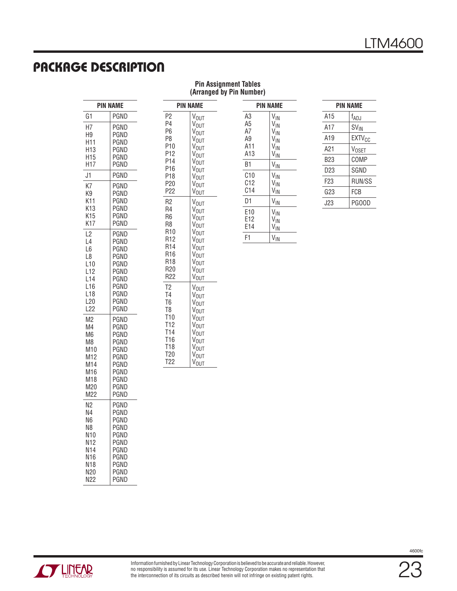### **PACKAGE DESCRIPTION**

| <b>Pin Assignment Tables</b> |  |  |
|------------------------------|--|--|
| (Arranged by Pin Number)     |  |  |

| PIN NAME                                                                          |                                                                                      |  |
|-----------------------------------------------------------------------------------|--------------------------------------------------------------------------------------|--|
| G1                                                                                | PGND                                                                                 |  |
| Н7                                                                                | PGND                                                                                 |  |
| H9                                                                                | PGND                                                                                 |  |
| H11                                                                               | PGND                                                                                 |  |
| H13                                                                               | PGND                                                                                 |  |
| H15                                                                               | PGND                                                                                 |  |
| H17                                                                               | PGND                                                                                 |  |
| J1                                                                                | PGND                                                                                 |  |
| K7                                                                                | PGND                                                                                 |  |
| K9                                                                                | PGND                                                                                 |  |
| K11                                                                               | PGND                                                                                 |  |
| K13                                                                               | PGND                                                                                 |  |
| K15                                                                               | PGND                                                                                 |  |
| K17                                                                               | PGND                                                                                 |  |
| L <sub>2</sub><br>L4<br>L6<br>L8<br>L10<br>L12<br>L14<br>L16<br>L18<br>L20<br>L22 | PGND<br>PGND<br>PGND<br>PGND<br>PGND<br>PGND<br>PGND<br>PGND<br>PGND<br>PGND<br>PGND |  |
| M2                                                                                | PGND                                                                                 |  |
| M4                                                                                | PGND                                                                                 |  |
| M6                                                                                | PGND                                                                                 |  |
| M8                                                                                | PGND                                                                                 |  |
| M10                                                                               | PGND                                                                                 |  |
| M12                                                                               | PGND                                                                                 |  |
| M14                                                                               | PGND                                                                                 |  |
| M16                                                                               | PGND                                                                                 |  |
| M18                                                                               | PGND                                                                                 |  |
| M20                                                                               | PGND                                                                                 |  |
| M22                                                                               | PGND                                                                                 |  |
| N2                                                                                | PGND                                                                                 |  |
| N4                                                                                | PGND                                                                                 |  |
| N6                                                                                | PGND                                                                                 |  |
| N8                                                                                | PGND                                                                                 |  |
| N10                                                                               | PGND                                                                                 |  |
| N12                                                                               | PGND                                                                                 |  |
| N14                                                                               | PGND                                                                                 |  |
| N16                                                                               | PGND                                                                                 |  |
| N18                                                                               | PGND                                                                                 |  |
| N20                                                                               | PGND                                                                                 |  |
| N22                                                                               | PGND                                                                                 |  |

| <b>PIN NAME</b> |                  |  |
|-----------------|------------------|--|
| P2              | V <sub>OUT</sub> |  |
| P4              | V <sub>OUT</sub> |  |
| Р6              | V <sub>OUT</sub> |  |
| P8              | V <sub>OUT</sub> |  |
| P10             | V <sub>OUT</sub> |  |
| P12             | V <sub>OUT</sub> |  |
| P14             | V <sub>OUT</sub> |  |
| P16             | V <sub>OUT</sub> |  |
| P18             | V <sub>OUT</sub> |  |
| P20             | V <sub>OUT</sub> |  |
| P22             | V <sub>OUT</sub> |  |
| R2              | V <sub>OUT</sub> |  |
| R4              | V <sub>OUT</sub> |  |
| R6              | V <sub>OUT</sub> |  |
| R8              | V <sub>OUT</sub> |  |
| R10             | V <sub>OUT</sub> |  |
| R12             | V <sub>OUT</sub> |  |
| R14             | V <sub>OUT</sub> |  |
| R16             | V <sub>OUT</sub> |  |
| R18             | V <sub>OUT</sub> |  |
| R20             | V <sub>OUT</sub> |  |
| R22             | V <sub>OUT</sub> |  |
| T2              | V <sub>OUT</sub> |  |
| T4              | V <sub>OUT</sub> |  |
| T6              | V <sub>OUT</sub> |  |
| T8              | V <sub>OUT</sub> |  |
| T10             | V <sub>OUT</sub> |  |
| T12             | V <sub>OUT</sub> |  |
| T14             | V <sub>OUT</sub> |  |
| T16             | V <sub>OUT</sub> |  |
| T18             | V <sub>OUT</sub> |  |
| T <sub>20</sub> | V <sub>OUT</sub> |  |

T22

VOUT

| <b>PIN NAME</b>                                            |                                                                                                  |  |
|------------------------------------------------------------|--------------------------------------------------------------------------------------------------|--|
| A <sub>3</sub><br>A <sub>5</sub><br>A7<br>A9<br>A11<br>A13 | $V_{IN}$<br>V <sub>IN</sub><br>V <sub>IN</sub><br>V <sub>IN</sub><br>$V_{IN}$<br>V <sub>IN</sub> |  |
| B1                                                         | $V_{IN}$                                                                                         |  |
| C10<br>C <sub>12</sub><br>C <sub>14</sub>                  | V <sub>IN</sub><br>$V_{IN}$<br>V <sub>IN</sub>                                                   |  |
| D1                                                         | $V_{IN}$                                                                                         |  |
| E10<br>E12<br>E14                                          | $V_{IN}$<br>V <sub>IN</sub><br>V <sub>IN</sub>                                                   |  |
| F1                                                         | $V_{\text{IN}}$                                                                                  |  |

| <b>PIN NAME</b> |                          |  |  |
|-----------------|--------------------------|--|--|
| A15             | f <sub>ADJ</sub>         |  |  |
| A17             | SV <sub>IN</sub>         |  |  |
| A19             | <b>EXTV<sub>CC</sub></b> |  |  |
| A21             | V <sub>OSET</sub>        |  |  |
| B23             | COMP                     |  |  |
| D23             | SGND                     |  |  |
| F23             | RUN/SS                   |  |  |
| G23             | FCB                      |  |  |
| J23             | PGOOD                    |  |  |